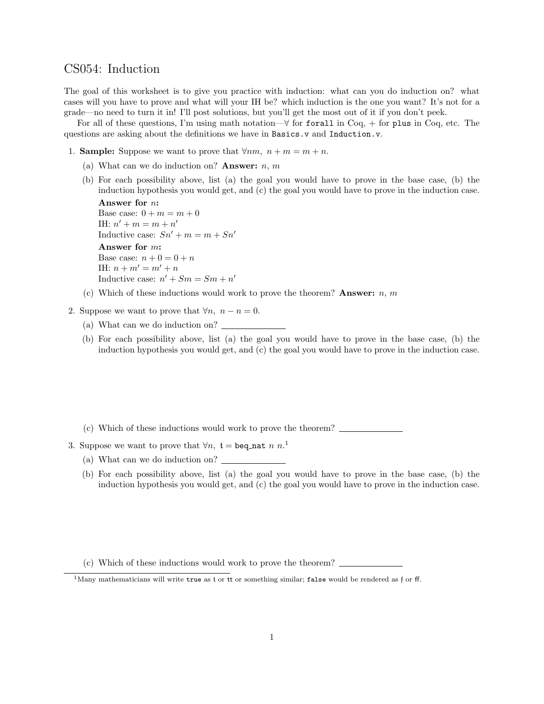## CS054: Induction

The goal of this worksheet is to give you practice with induction: what can you do induction on? what cases will you have to prove and what will your IH be? which induction is the one you want? It's not for a grade—no need to turn it in! I'll post solutions, but you'll get the most out of it if you don't peek.

For all of these questions, I'm using math notation— $\forall$  for forall in Coq, + for plus in Coq, etc. The questions are asking about the definitions we have in Basics.v and Induction.v.

- 1. **Sample:** Suppose we want to prove that  $\forall nm, n+m=m+n$ .
	- (a) What can we do induction on? **Answer:**  $n, m$
	- (b) For each possibility above, list (a) the goal you would have to prove in the base case, (b) the induction hypothesis you would get, and (c) the goal you would have to prove in the induction case.

```
Answer for n:
Base case: 0 + m = m + 0IH: n' + m = m + n'Inductive case: Sn' + m = m + Sn'Answer for m:
Base case: n + 0 = 0 + nIH: n + m' = m' + nInductive case: n' + Sm = Sm + n'
```
- (c) Which of these inductions would work to prove the theorem? **Answer:** n, m
- 2. Suppose we want to prove that  $\forall n, n n = 0$ .
	- (a) What can we do induction on?
	- (b) For each possibility above, list (a) the goal you would have to prove in the base case, (b) the induction hypothesis you would get, and (c) the goal you would have to prove in the induction case.
	- (c) Which of these inductions would work to prove the theorem?
- 3. Suppose we want to prove that  $\forall n, t = \texttt{beq\_nat} \; n \; n$ <sup>1</sup>
	- (a) What can we do induction on?
	- (b) For each possibility above, list (a) the goal you would have to prove in the base case, (b) the induction hypothesis you would get, and (c) the goal you would have to prove in the induction case.
	- (c) Which of these inductions would work to prove the theorem?

<sup>&</sup>lt;sup>1</sup>Many mathematicians will write true as t or tt or something similar; false would be rendered as f or ff.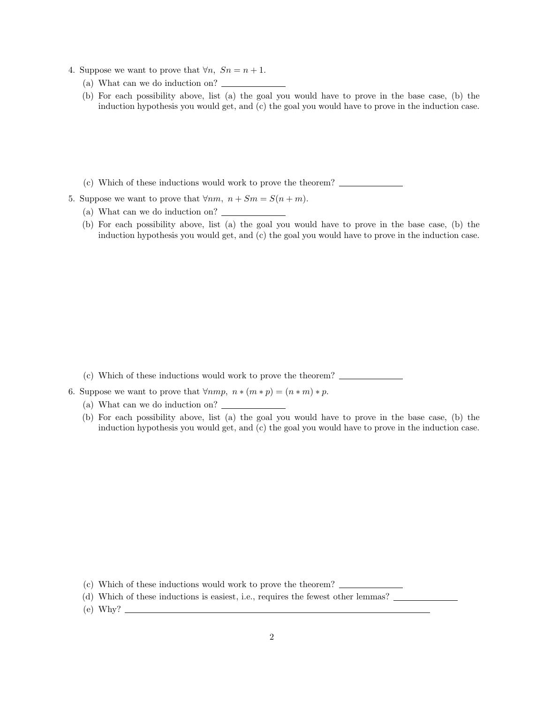- 4. Suppose we want to prove that  $\forall n, S_n = n+1$ .
	- (a) What can we do induction on?
	- (b) For each possibility above, list (a) the goal you would have to prove in the base case, (b) the induction hypothesis you would get, and (c) the goal you would have to prove in the induction case.
	- (c) Which of these inductions would work to prove the theorem?
- 5. Suppose we want to prove that  $\forall nm, n + Sm = S(n + m)$ .
	- (a) What can we do induction on?
	- (b) For each possibility above, list (a) the goal you would have to prove in the base case, (b) the induction hypothesis you would get, and (c) the goal you would have to prove in the induction case.

- (c) Which of these inductions would work to prove the theorem?
- 6. Suppose we want to prove that  $\forall nmp, n*(m*p) = (n*m)*p$ .
	- (a) What can we do induction on?
	- (b) For each possibility above, list (a) the goal you would have to prove in the base case, (b) the induction hypothesis you would get, and (c) the goal you would have to prove in the induction case.

- (c) Which of these inductions would work to prove the theorem?
- (d) Which of these inductions is easiest, i.e., requires the fewest other lemmas?
- $(e)$  Why?  $\_\_$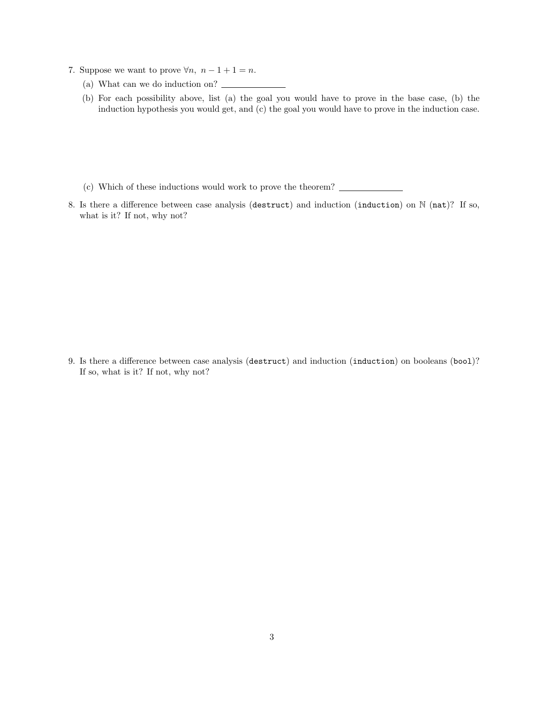- 7. Suppose we want to prove  $\forall n, n-1+1 = n$ .
	- (a) What can we do induction on?
	- (b) For each possibility above, list (a) the goal you would have to prove in the base case, (b) the induction hypothesis you would get, and (c) the goal you would have to prove in the induction case.
	- (c) Which of these inductions would work to prove the theorem?
- 8. Is there a difference between case analysis (destruct) and induction (induction) on N (nat)? If so, what is it? If not, why not?

9. Is there a difference between case analysis (destruct) and induction (induction) on booleans (bool)? If so, what is it? If not, why not?